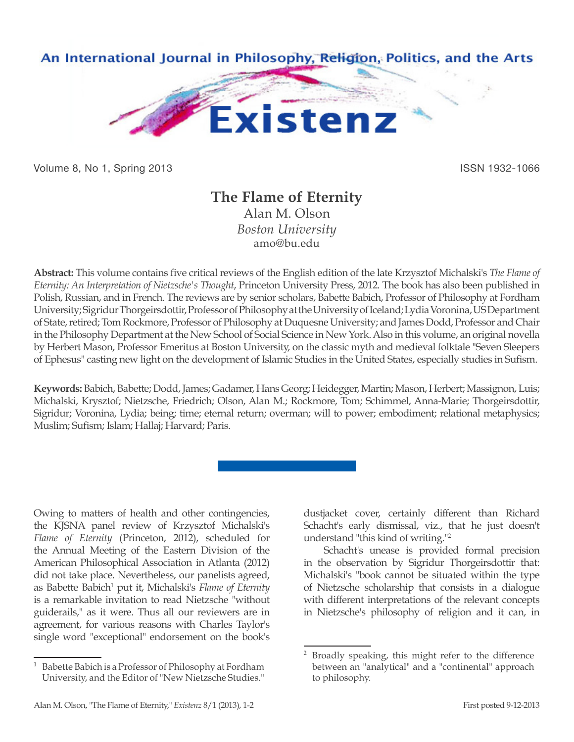

Volume 8, No 1, Spring 2013 **ISSN 1932-1066** ISSN 1932-1066

## **The Flame of Eternity**

Alan M. Olson *Boston University* amo@bu.edu

**Abstract:** This volume contains five critical reviews of the English edition of the late Krzysztof Michalski's *The Flame of Eternity: An Interpretation of Nietzsche's Thought*, Princeton University Press, 2012. The book has also been published in Polish, Russian, and in French. The reviews are by senior scholars, Babette Babich, Professor of Philosophy at Fordham University; Sigridur Thorgeirsdottir, Professor of Philosophy at the University of Iceland; Lydia Voronina, US Department of State, retired; Tom Rockmore, Professor of Philosophy at Duquesne University; and James Dodd, Professor and Chair in the Philosophy Department at the New School of Social Science in New York. Also in this volume, an original novella by Herbert Mason, Professor Emeritus at Boston University, on the classic myth and medieval folktale "Seven Sleepers of Ephesus" casting new light on the development of Islamic Studies in the United States, especially studies in Sufism.

**Keywords:** Babich, Babette; Dodd, James; Gadamer, Hans Georg; Heidegger, Martin; Mason, Herbert; Massignon, Luis; Michalski, Krysztof; Nietzsche, Friedrich; Olson, Alan M.; Rockmore, Tom; Schimmel, Anna-Marie; Thorgeirsdottir, Sigridur; Voronina, Lydia; being; time; eternal return; overman; will to power; embodiment; relational metaphysics; Muslim; Sufism; Islam; Hallaj; Harvard; Paris.

Owing to matters of health and other contingencies, the KJSNA panel review of Krzysztof Michalski's *Flame of Eternity* (Princeton, 2012), scheduled for the Annual Meeting of the Eastern Division of the American Philosophical Association in Atlanta (2012) did not take place. Nevertheless, our panelists agreed, as Babette Babich<sup>1</sup> put it, Michalski's Flame of Eternity is a remarkable invitation to read Nietzsche "without guiderails," as it were. Thus all our reviewers are in agreement, for various reasons with Charles Taylor's single word "exceptional" endorsement on the book's dustjacket cover, certainly different than Richard Schacht's early dismissal, viz., that he just doesn't understand "this kind of writing."2

Schacht's unease is provided formal precision in the observation by Sigridur Thorgeirsdottir that: Michalski's "book cannot be situated within the type of Nietzsche scholarship that consists in a dialogue with different interpretations of the relevant concepts in Nietzsche's philosophy of religion and it can, in

<sup>1</sup> Babette Babich is a Professor of Philosophy at Fordham University, and the Editor of "New Nietzsche Studies."

<sup>&</sup>lt;sup>2</sup> Broadly speaking, this might refer to the difference between an "analytical" and a "continental" approach to philosophy.